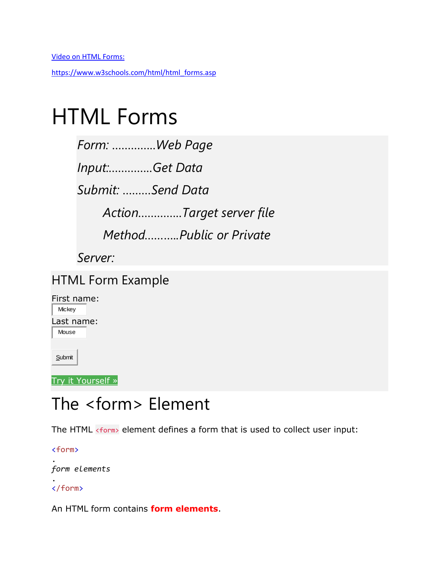[https://www.w3schools.com/html/html\\_forms.asp](https://www.w3schools.com/html/html_forms.asp)

# HTML Forms

| Form: Web Page           |
|--------------------------|
| Input:Get Data           |
| Submit: Send Data        |
| ActionTarget server file |
| MethodPublic or Private  |
| Server:                  |

#### HTML Form Example

| First name: |  |
|-------------|--|
| Mickey      |  |
| Last name:  |  |
| Mouse       |  |
|             |  |

**Submit** 

Try it [Yourself](https://www.w3schools.com/html/tryit.asp?filename=tryhtml_form_submit) »

## The <form> Element

The HTML <form> element defines a form that is used to collect user input:

<form>

. *form elements*

. </form>

An HTML form contains **form elements**.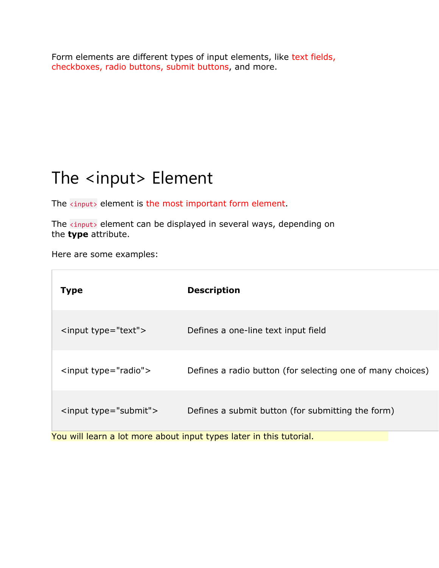Form elements are different types of input elements, like text fields, checkboxes, radio buttons, submit buttons, and more.

## The <input> Element

The **kingut** element is the most important form element.

The **kingut** element can be displayed in several ways, depending on the **type** attribute.

Here are some examples:

П

| Type                                                                | <b>Description</b>                                         |  |
|---------------------------------------------------------------------|------------------------------------------------------------|--|
| <input type="text"/>                                                | Defines a one-line text input field                        |  |
| <input type="radio"/>                                               | Defines a radio button (for selecting one of many choices) |  |
| <input type="submit"/>                                              | Defines a submit button (for submitting the form)          |  |
| You will learn a lot more about input types later in this tutorial. |                                                            |  |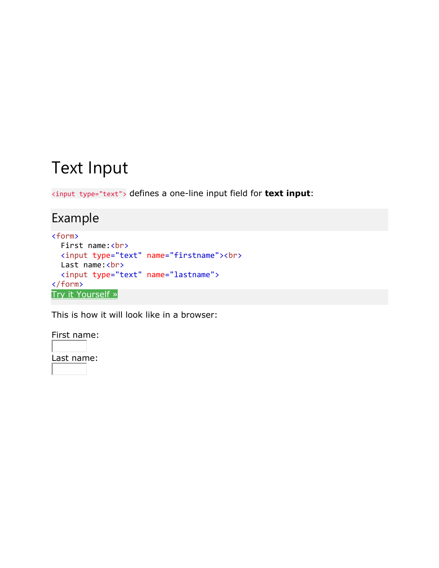### Text Input

<input type="text"> defines a one-line input field for **text input**:

#### Example

```
<form>
  First name:<br>
   <input type="text" name="firstname"><br>
  Last name:<br>
   <input type="text" name="lastname">
</form>
Try it Yourself »
```
This is how it will look like in a browser:

First name:

Last name: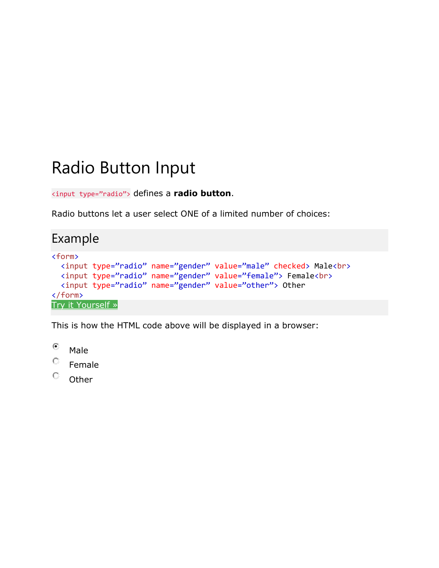## Radio Button Input

<input type="radio"> defines a **radio button**.

Radio buttons let a user select ONE of a limited number of choices:

#### Example

```
<form>
  <input type="radio" name="gender" value="male" checked> Male<br>
  <input type="radio" name="gender" value="female"> Female<br>
  <input type="radio" name="gender" value="other"> Other
</form>
Try it Yourself »
```
This is how the HTML code above will be displayed in a browser:

⊙ Male

О. Female

О. **Other**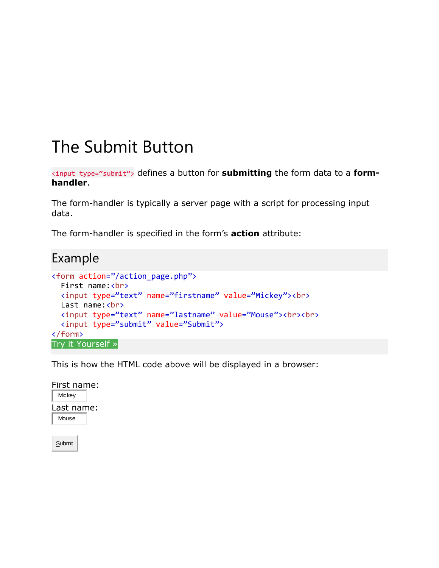### The Submit Button

<input type="submit"> defines a button for **submitting** the form data to a **formhandler**.

The form-handler is typically a server page with a script for processing input data.

The form-handler is specified in the form's **action** attribute:

#### Example

```
<form action="/action_page.php">
 First name:<br>
  <input type="text" name="firstname" value="Mickey"><br>
 Last name:<br>
  <input type="text" name="lastname" value="Mouse"><br><br>
  <input type="submit" value="Submit">
</form>
Try it Yourself »
```
This is how the HTML code above will be displayed in a browser:

First name: **Mickey** Last name: Mouse

**Submit**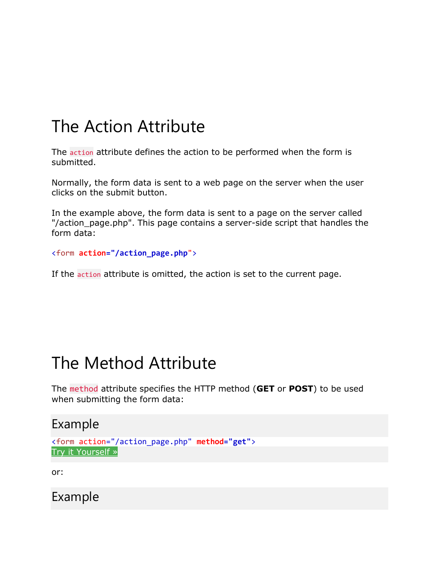## The Action Attribute

The action attribute defines the action to be performed when the form is submitted.

Normally, the form data is sent to a web page on the server when the user clicks on the submit button.

In the example above, the form data is sent to a page on the server called "/action\_page.php". This page contains a server-side script that handles the form data:

<form **action="/action\_page.php**">

If the action attribute is omitted, the action is set to the current page.

### The Method Attribute

The method attribute specifies the HTTP method (**GET** or **POST**) to be used when submitting the form data:

#### Example

```
<form action="/action_page.php" method="get">
Try it Yourself »
```
or:

Example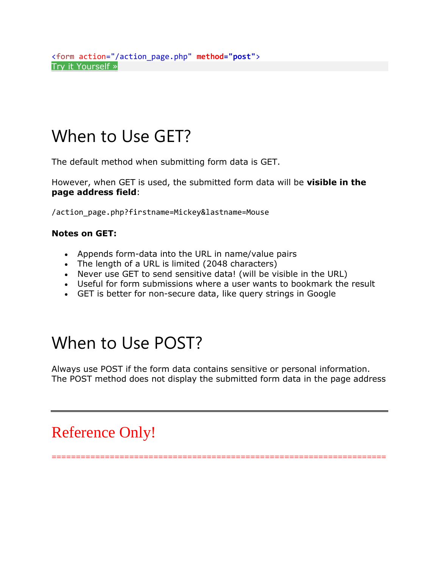## When to Use GET?

The default method when submitting form data is GET.

However, when GET is used, the submitted form data will be **visible in the page address field**:

/action\_page.php?firstname=Mickey&lastname=Mouse

#### **Notes on GET:**

- Appends form-data into the URL in name/value pairs
- The length of a URL is limited (2048 characters)
- Never use GET to send sensitive data! (will be visible in the URL)
- Useful for form submissions where a user wants to bookmark the result
- GET is better for non-secure data, like query strings in Google

## When to Use POST?

Always use POST if the form data contains sensitive or personal information. The POST method does not display the submitted form data in the page address

#### Reference Only!

=====================================================================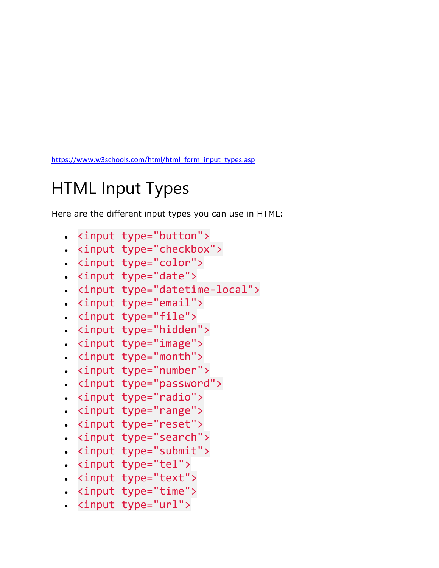[https://www.w3schools.com/html/html\\_form\\_input\\_types.asp](https://www.w3schools.com/html/html_form_input_types.asp)

## HTML Input Types

Here are the different input types you can use in HTML:

- <input type="button">
- <input type="checkbox">
- <input type="color">
- <input type="date">
- <input type="datetime-local">
- <input type="email">
- <input type="file">
- <input type="hidden">
- <input type="image">
- <input type="month">
- <input type="number">
- <input type="password">
- <input type="radio">
- <input type="range">
- <input type="reset">
- <input type="search">
- <input type="submit">
- <input type="tel">
- <input type="text">
- <input type="time">
- <input type="url">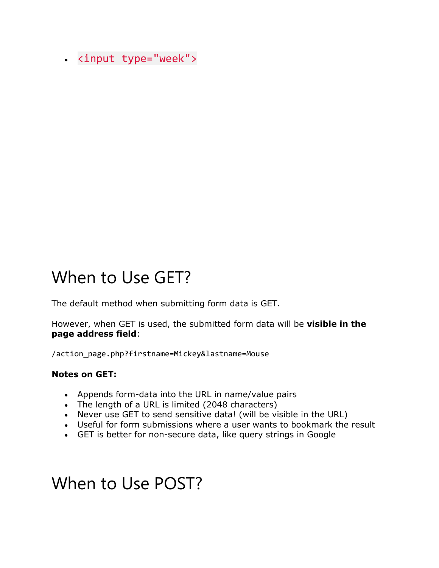• <input type="week">

### When to Use GET?

The default method when submitting form data is GET.

However, when GET is used, the submitted form data will be **visible in the page address field**:

/action\_page.php?firstname=Mickey&lastname=Mouse

#### **Notes on GET:**

- Appends form-data into the URL in name/value pairs
- The length of a URL is limited (2048 characters)
- Never use GET to send sensitive data! (will be visible in the URL)
- Useful for form submissions where a user wants to bookmark the result
- GET is better for non-secure data, like query strings in Google

#### When to Use POST?